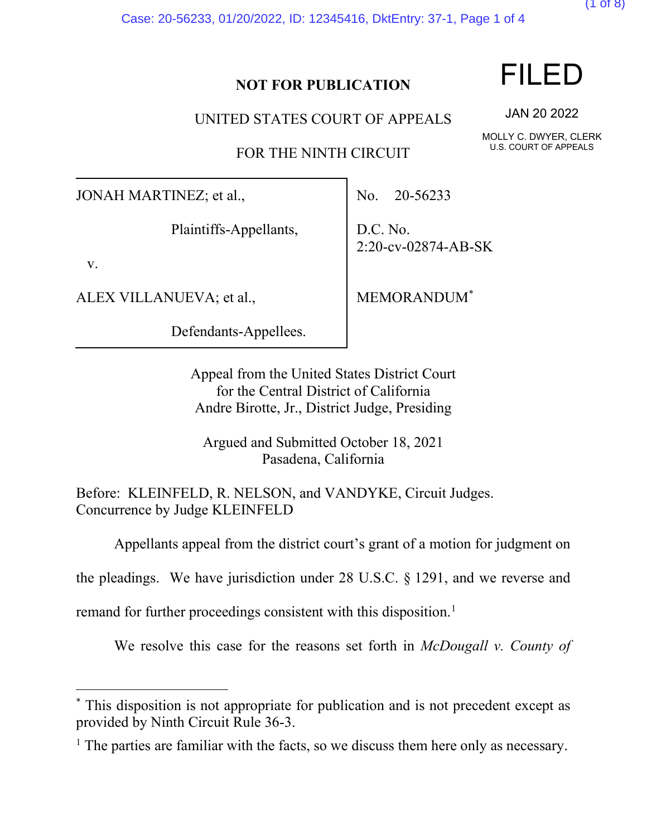Case: 20-56233, 01/20/2022, ID: 12345416, DktEntry: 37-1, Page 1 of 4

### **NOT FOR PUBLICATION**

UNITED STATES COURT OF APPEALS

FOR THE NINTH CIRCUIT

JONAH MARTINEZ; et al.,

Plaintiffs-Appellants,

v.

ALEX VILLANUEVA; et al.,

Defendants-Appellees.

No. 20-56233

D.C. No. 2:20-cv-02874-AB-SK

MEMORANDUM[\\*](#page-1-0)

Appeal from the United States District Court for the Central District of California Andre Birotte, Jr., District Judge, Presiding

Argued and Submitted October 18, 2021 Pasadena, California

Before: KLEINFELD, R. NELSON, and VANDYKE, Circuit Judges. Concurrence by Judge KLEINFELD

Appellants appeal from the district court's grant of a motion for judgment on

the pleadings. We have jurisdiction under 28 U.S.C. § 1291, and we reverse and

remand for further proceedings consistent with this disposition.<sup>[1](#page-1-0)</sup>

We resolve this case for the reasons set forth in *McDougall v. County of* 



JAN 20 2022

MOLLY C. DWYER, CLERK U.S. COURT OF APPEALS



<sup>\*</sup> This disposition is not appropriate for publication and is not precedent except as provided by Ninth Circuit Rule 36-3.

<sup>&</sup>lt;sup>1</sup> The parties are familiar with the facts, so we discuss them here only as necessary.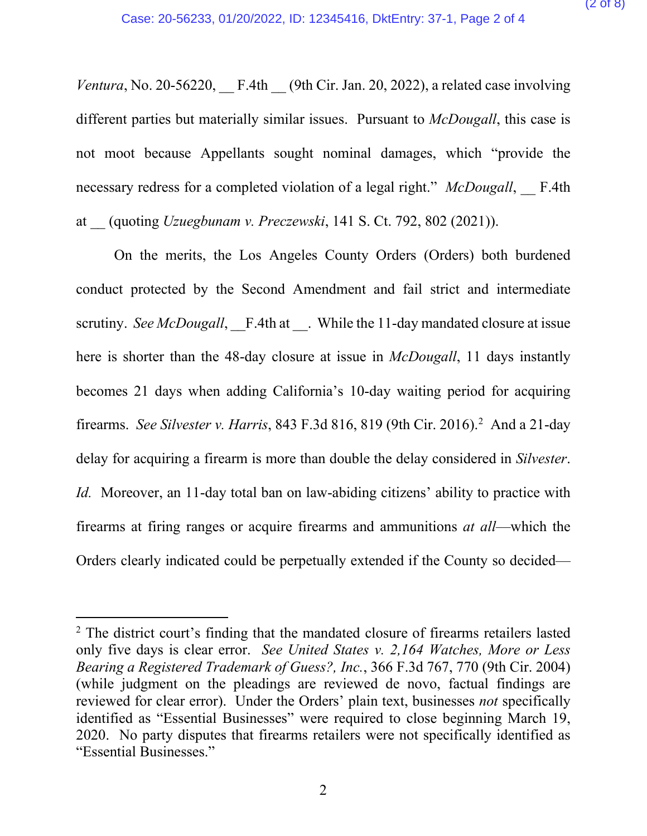*Ventura*, No. 20-56220,  $F.4th$  (9th Cir. Jan. 20, 2022), a related case involving different parties but materially similar issues. Pursuant to *McDougall*, this case is not moot because Appellants sought nominal damages, which "provide the necessary redress for a completed violation of a legal right." *McDougall*, F.4th at \_\_ (quoting *Uzuegbunam v. Preczewski*, 141 S. Ct. 792, 802 (2021)).

On the merits, the Los Angeles County Orders (Orders) both burdened conduct protected by the Second Amendment and fail strict and intermediate scrutiny. *See McDougall*, F.4th at . While the 11-day mandated closure at issue here is shorter than the 48-day closure at issue in *McDougall*, 11 days instantly becomes 21 days when adding California's 10-day waiting period for acquiring firearms. *See Silvester v. Harris*, 843 F.3d 816, 819 (9th Cir. 2016). [2](#page-1-0) And a 21-day delay for acquiring a firearm is more than double the delay considered in *Silvester*. *Id.* Moreover, an 11-day total ban on law-abiding citizens' ability to practice with firearms at firing ranges or acquire firearms and ammunitions *at all*—which the Orders clearly indicated could be perpetually extended if the County so decided—

<span id="page-1-0"></span><sup>&</sup>lt;sup>2</sup> The district court's finding that the mandated closure of firearms retailers lasted only five days is clear error. *See United States v. 2,164 Watches, More or Less Bearing a Registered Trademark of Guess?, Inc.*, 366 F.3d 767, 770 (9th Cir. 2004) (while judgment on the pleadings are reviewed de novo, factual findings are reviewed for clear error). Under the Orders' plain text, businesses *not* specifically identified as "Essential Businesses" were required to close beginning March 19, 2020. No party disputes that firearms retailers were not specifically identified as "Essential Businesses."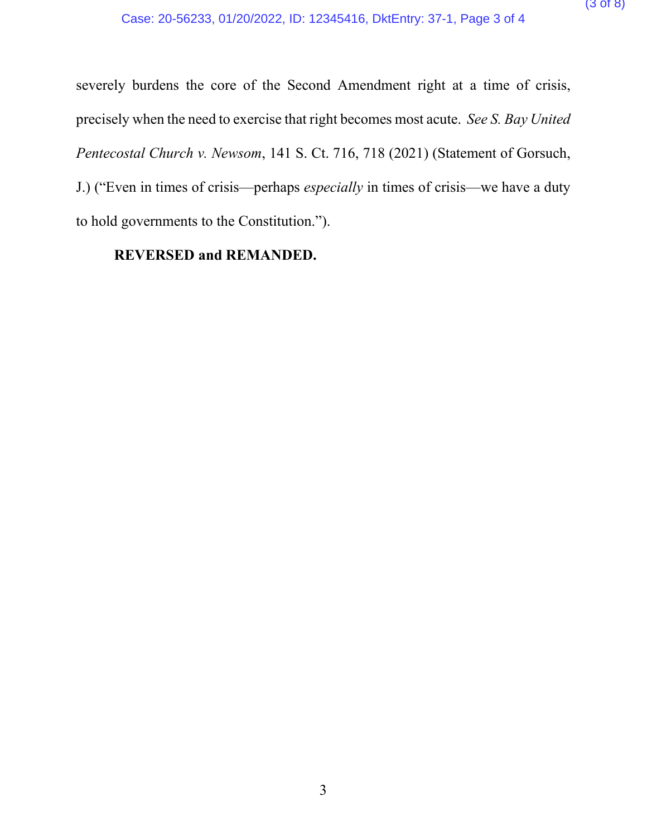severely burdens the core of the Second Amendment right at a time of crisis, precisely when the need to exercise that right becomes most acute. *See S. Bay United Pentecostal Church v. Newsom*, 141 S. Ct. 716, 718 (2021) (Statement of Gorsuch, J.) ("Even in times of crisis—perhaps *especially* in times of crisis—we have a duty to hold governments to the Constitution.").

#### **REVERSED and REMANDED.**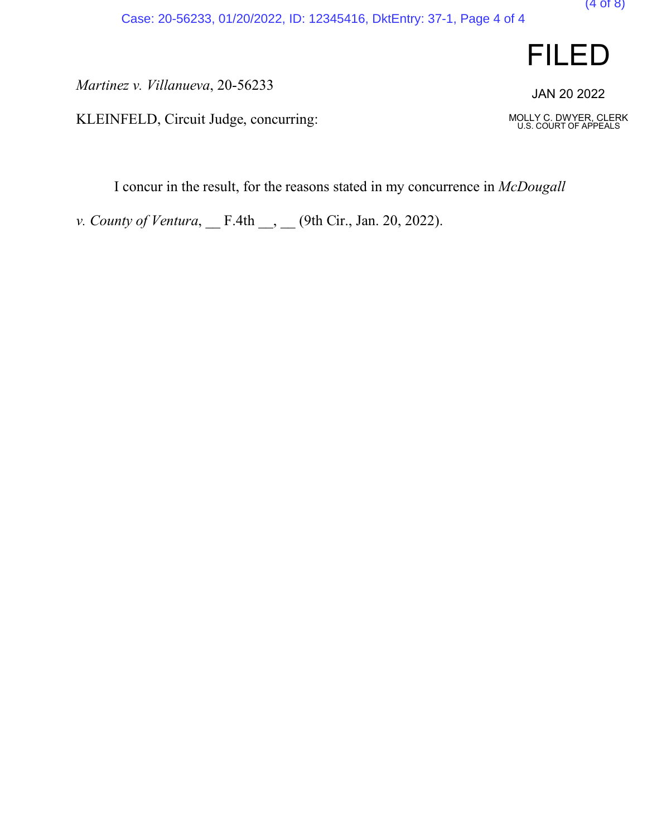*Martinez v. Villanueva*, 20-56233

KLEINFELD, Circuit Judge, concurring:

I concur in the result, for the reasons stated in my concurrence in *McDougall*

*v. County of Ventura*, \_\_ F.4th \_\_, \_\_ (9th Cir., Jan. 20, 2022).





(4 of 8)

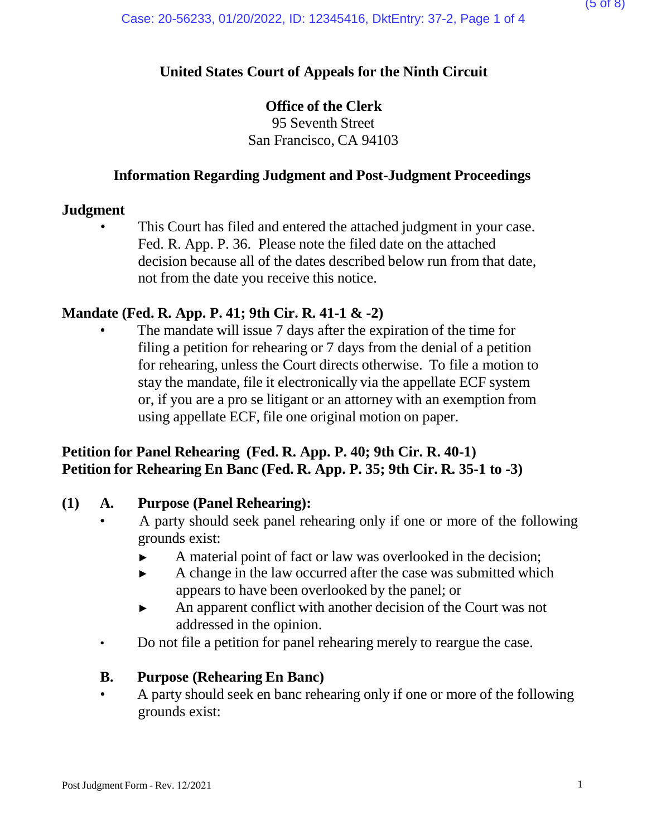### **United States Court of Appeals for the Ninth Circuit**

### **Office of the Clerk**

95 Seventh Street San Francisco, CA 94103

### **Information Regarding Judgment and Post-Judgment Proceedings**

#### **Judgment**

This Court has filed and entered the attached judgment in your case. Fed. R. App. P. 36. Please note the filed date on the attached decision because all of the dates described below run from that date, not from the date you receive this notice.

### **Mandate (Fed. R. App. P. 41; 9th Cir. R. 41-1 & -2)**

The mandate will issue 7 days after the expiration of the time for filing a petition for rehearing or 7 days from the denial of a petition for rehearing, unless the Court directs otherwise. To file a motion to stay the mandate, file it electronically via the appellate ECF system or, if you are a pro se litigant or an attorney with an exemption from using appellate ECF, file one original motion on paper.

### **Petition for Panel Rehearing (Fed. R. App. P. 40; 9th Cir. R. 40-1) Petition for Rehearing En Banc (Fed. R. App. P. 35; 9th Cir. R. 35-1 to -3)**

#### **(1) A. Purpose (Panel Rehearing):**

- A party should seek panel rehearing only if one or more of the following grounds exist:
	- ► A material point of fact or law was overlooked in the decision;
	- ► A change in the law occurred after the case was submitted which appears to have been overlooked by the panel; or
	- ► An apparent conflict with another decision of the Court was not addressed in the opinion.
- Do not file a petition for panel rehearing merely to reargue the case.

#### **B. Purpose (Rehearing En Banc)**

• A party should seek en banc rehearing only if one or more of the following grounds exist: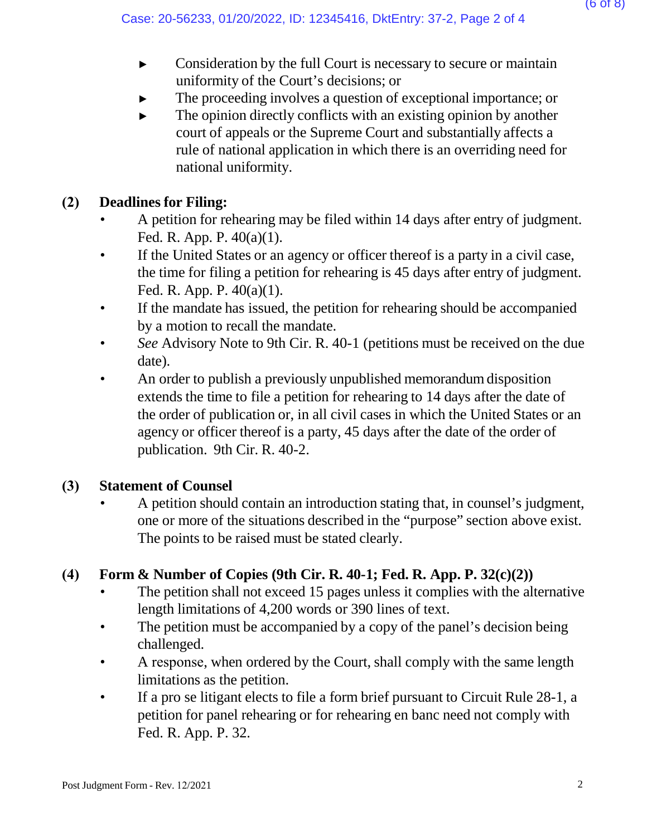- ► Consideration by the full Court is necessary to secure or maintain uniformity of the Court's decisions; or
- The proceeding involves a question of exceptional importance; or
- $\blacktriangleright$  The opinion directly conflicts with an existing opinion by another court of appeals or the Supreme Court and substantially affects a rule of national application in which there is an overriding need for national uniformity.

# **(2) Deadlines for Filing:**

- A petition for rehearing may be filed within 14 days after entry of judgment. Fed. R. App. P. 40(a)(1).
- If the United States or an agency or officer thereof is a party in a civil case, the time for filing a petition for rehearing is 45 days after entry of judgment. Fed. R. App. P. 40(a)(1).
- If the mandate has issued, the petition for rehearing should be accompanied by a motion to recall the mandate.
- *See* Advisory Note to 9th Cir. R. 40-1 (petitions must be received on the due date).
- An order to publish a previously unpublished memorandum disposition extends the time to file a petition for rehearing to 14 days after the date of the order of publication or, in all civil cases in which the United States or an agency or officer thereof is a party, 45 days after the date of the order of publication. 9th Cir. R. 40-2.

## **(3) Statement of Counsel**

• A petition should contain an introduction stating that, in counsel's judgment, one or more of the situations described in the "purpose" section above exist. The points to be raised must be stated clearly.

## **(4) Form & Number of Copies (9th Cir. R. 40-1; Fed. R. App. P. 32(c)(2))**

- The petition shall not exceed 15 pages unless it complies with the alternative length limitations of 4,200 words or 390 lines of text.
- The petition must be accompanied by a copy of the panel's decision being challenged.
- A response, when ordered by the Court, shall comply with the same length limitations as the petition.
- If a pro se litigant elects to file a form brief pursuant to Circuit Rule 28-1, a petition for panel rehearing or for rehearing en banc need not comply with Fed. R. App. P. 32.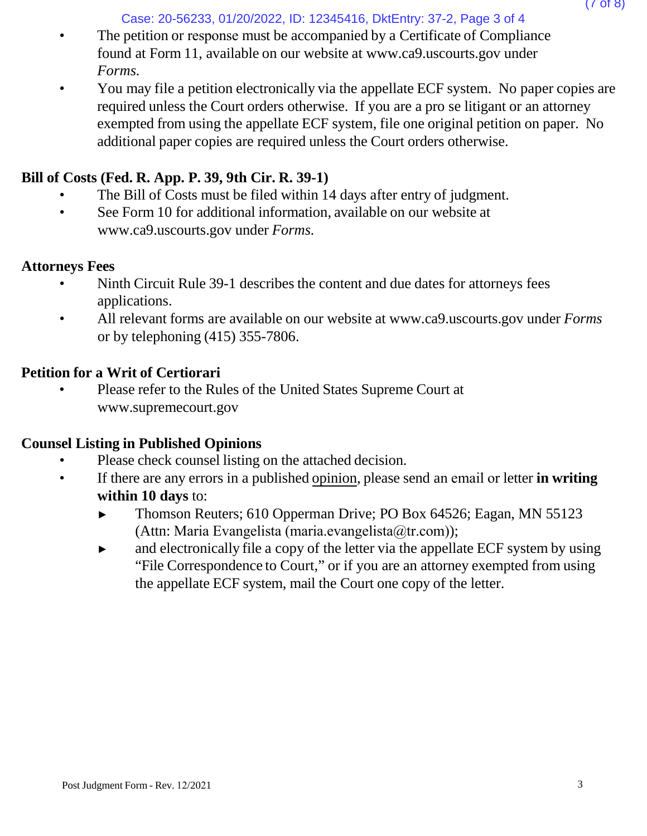Case: 20-56233, 01/20/2022, ID: 12345416, DktEntry: 37-2, Page 3 of 4

- The petition or response must be accompanied by a Certificate of Compliance found at Form 11, available on our website at [www.ca9.uscourts.gov](http://www.ca9.uscourts.gov/) under *Forms.*
- You may file a petition electronically via the appellate ECF system. No paper copies are required unless the Court orders otherwise. If you are a pro se litigant or an attorney exempted from using the appellate ECF system, file one original petition on paper. No additional paper copies are required unless the Court orders otherwise.

# **Bill of Costs (Fed. R. App. P. 39, 9th Cir. R. 39-1)**

- The Bill of Costs must be filed within 14 days after entry of judgment.
- See Form 10 for addi[t](http://www.ca9.uscourts.gov/)ional information, available on our website at [www.ca9.uscourts.gov](http://www.ca9.uscourts.gov/) under *Forms.*

## **Attorneys Fees**

- Ninth Circuit Rule 39-1 describes the content and due dates for attorneys fees applications.
- All relevant forms are available on our website at [www.ca9.uscourts.gov](http://www.ca9.uscourts.gov/) under *Forms* or by telephoning (415) 355-7806.

## **Petition for a Writ of Certiorari**

• Please refer to the Rules of the United States Supreme Court a[t](http://www.supremecourt.gov/) [www.supremecourt.gov](http://www.supremecourt.gov/)

# **Counsel Listing in Published Opinions**

- Please check counsel listing on the attached decision.
- If there are any errors in a published opinion, please send an email or letter **in writing within 10 days** to:
	- ► Thomson Reuters; 610 Opperman Drive; PO Box 64526; Eagan, MN 55123 (Attn: Maria Evangelista (maria.evangelista $(\hat{\omega}$ tr.com));
	- ► and electronically file a copy of the letter via the appellate ECF system by using "File Correspondence to Court," or if you are an attorney exempted from using the appellate ECF system, mail the Court one copy of the letter.